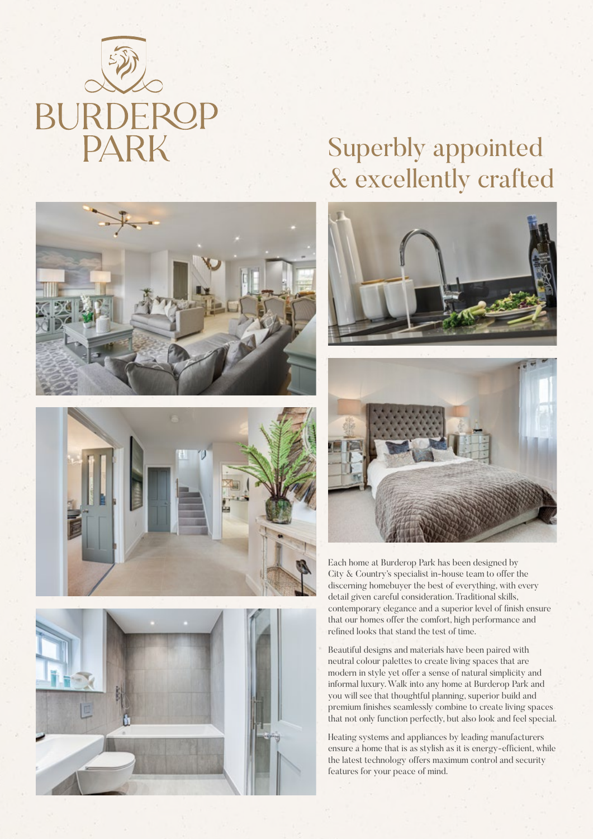







# Superbly appointed & excellently crafted





Each home at Burderop Park has been designed by City & Country's specialist in-house team to offer the discerning homebuyer the best of everything, with every detail given careful consideration. Traditional skills, contemporary elegance and a superior level of finish ensure that our homes offer the comfort, high performance and refined looks that stand the test of time.

Beautiful designs and materials have been paired with neutral colour palettes to create living spaces that are modern in style yet offer a sense of natural simplicity and informal luxury. Walk into any home at Burderop Park and you will see that thoughtful planning, superior build and premium finishes seamlessly combine to create living spaces that not only function perfectly, but also look and feel special.

Heating systems and appliances by leading manufacturers ensure a home that is as stylish as it is energy-efficient, while the latest technology offers maximum control and security features for your peace of mind.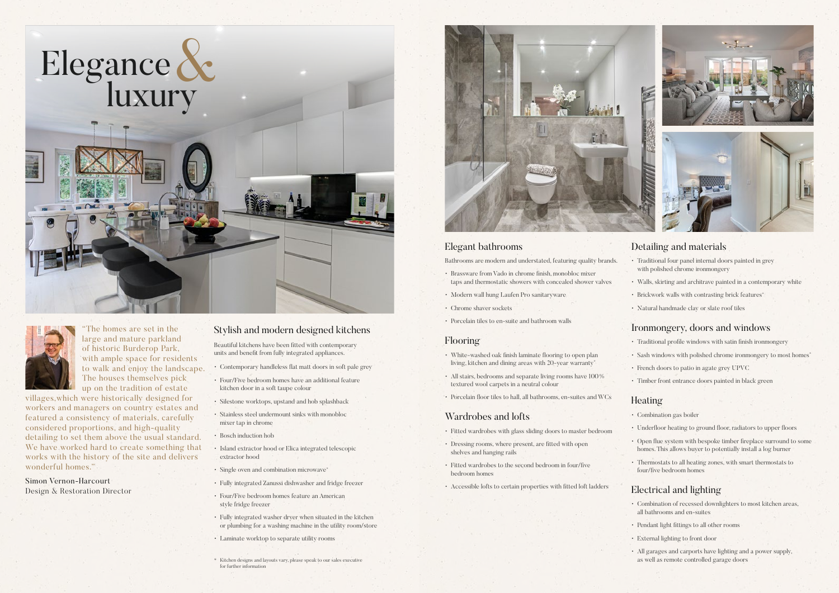#### Stylish and modern designed kitchens

Beautiful kitchens have been fitted with contemporary units and benefit from fully integrated appliances.

- Contemporary handleless flat matt doors in soft pale grey
- Four/Five bedroom homes have an additional feature kitchen door in a soft taupe colour
- Silestone worktops, upstand and hob splashback
- Stainless steel undermount sinks with monobloc mixer tap in chrome
- Bosch induction hob
- Island extractor hood or Elica integrated telescopic extractor hood
- Single oven and combination microwave\*
- Fully integrated Zanussi dishwasher and fridge freezer
- Four/Five bedroom homes feature an American style fridge freezer
- Fully integrated washer dryer when situated in the kitchen or plumbing for a washing machine in the utility room/store
- Laminate worktop to separate utility rooms

#### Elegant bathrooms

Bathrooms are modern and understated, featuring quality brands.

- Brassware from Vado in chrome finish, monobloc mixer taps and thermostatic showers with concealed shower valves
- Modern wall hung Laufen Pro sanitaryware
- Chrome shaver sockets
- Porcelain tiles to en-suite and bathroom walls

#### Flooring

- White-washed oak finish laminate flooring to open plan living, kitchen and dining areas with 20-year warranty\*
- All stairs, bedrooms and separate living rooms have 100% textured wool carpets in a neutral colour
- Porcelain floor tiles to hall, all bathrooms, en-suites and WCs

#### Wardrobes and lofts

• Fitted wardrobes with glass sliding doors to master bedroom

The homes are set in the large and mature parkland of historic Burderop Park, with ample space for residents to walk and enjoy the landscape. The houses themselves pick up on the tradition of estate

- Dressing rooms, where present, are fitted with open shelves and hanging rails
- Fitted wardrobes to the second bedroom in four/five bedroom homes
- Accessible lofts to certain properties with fitted loft ladders

#### Detailing and materials

- Traditional four panel internal doors painted in grey with polished chrome ironmongery
- Walls, skirting and architrave painted in a contemporary white
- Brickwork walls with contrasting brick features\*
- Natural handmade clay or slate roof tiles

#### Ironmongery, doors and windows

- Traditional profile windows with satin finish ironmongery
- Sash windows with polished chrome ironmongery to most homes\*
- French doors to patio in agate grey UPVC
- Timber front entrance doors painted in black green

#### Heating

- Combination gas boiler
- Underfloor heating to ground floor, radiators to upper floors
- Open flue system with bespoke timber fireplace surround to some homes. This allows buyer to potentially install a log burner
- Thermostats to all heating zones, with smart thermostats to four/five bedroom homes

#### Electrical and lighting

- Combination of recessed downlighters to most kitchen areas, all bathrooms and en-suites
- Pendant light fittings to all other rooms
- External lighting to front door
- All garages and carports have lighting and a power supply, as well as remote controlled garage doors





villages,which were historically designed for workers and managers on country estates and featured a consistency of materials, carefully considered proportions, and high-quality detailing to set them above the usual standard. We have worked hard to create something that works with the history of the site and delivers wonderful homes."

Simon Vernon-Harcourt Design & Restoration Director